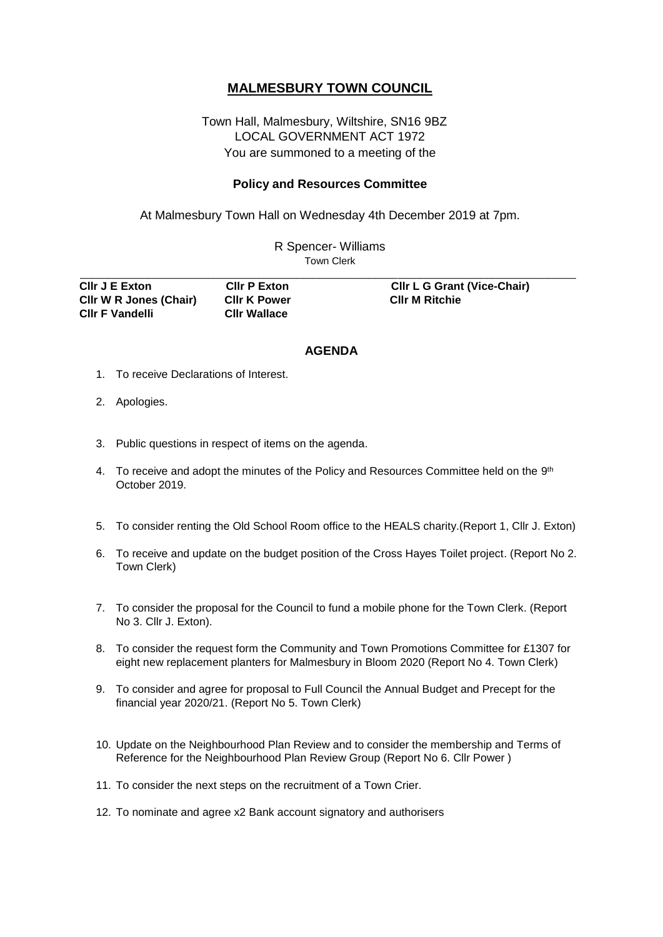## **MALMESBURY TOWN COUNCIL**

## Town Hall, Malmesbury, Wiltshire, SN16 9BZ LOCAL GOVERNMENT ACT 1972 You are summoned to a meeting of the

## **Policy and Resources Committee**

At Malmesbury Town Hall on Wednesday 4th December 2019 at 7pm.

R Spencer- Williams Town Clerk \_\_\_\_\_\_\_\_\_\_\_\_\_\_\_\_\_\_\_\_\_\_\_\_\_\_\_\_\_\_\_\_\_\_\_\_\_\_\_\_\_\_\_\_\_\_\_\_\_\_\_\_\_\_\_\_\_\_\_\_\_\_\_\_\_\_\_\_\_\_\_\_\_\_\_\_\_\_\_\_\_\_\_\_\_\_\_\_\_

| CIIr J E Exton         | <b>CIIr P Exton</b> | <b>CIIr L G Grant (Vice-Chair)</b> |
|------------------------|---------------------|------------------------------------|
| CIIr W R Jones (Chair) | <b>CIIr K Power</b> | <b>CIIr M Ritchie</b>              |
| <b>CIIr F Vandelli</b> | <b>CIIr Wallace</b> |                                    |

## **AGENDA**

- 1. To receive Declarations of Interest.
- 2. Apologies.
- 3. Public questions in respect of items on the agenda.
- 4. To receive and adopt the minutes of the Policy and Resources Committee held on the  $9<sup>th</sup>$ October 2019.
- 5. To consider renting the Old School Room office to the HEALS charity.(Report 1, Cllr J. Exton)
- 6. To receive and update on the budget position of the Cross Hayes Toilet project. (Report No 2. Town Clerk)
- 7. To consider the proposal for the Council to fund a mobile phone for the Town Clerk. (Report No 3. Cllr J. Exton).
- 8. To consider the request form the Community and Town Promotions Committee for £1307 for eight new replacement planters for Malmesbury in Bloom 2020 (Report No 4. Town Clerk)
- 9. To consider and agree for proposal to Full Council the Annual Budget and Precept for the financial year 2020/21. (Report No 5. Town Clerk)
- 10. Update on the Neighbourhood Plan Review and to consider the membership and Terms of Reference for the Neighbourhood Plan Review Group (Report No 6. Cllr Power )
- 11. To consider the next steps on the recruitment of a Town Crier.
- 12. To nominate and agree x2 Bank account signatory and authorisers